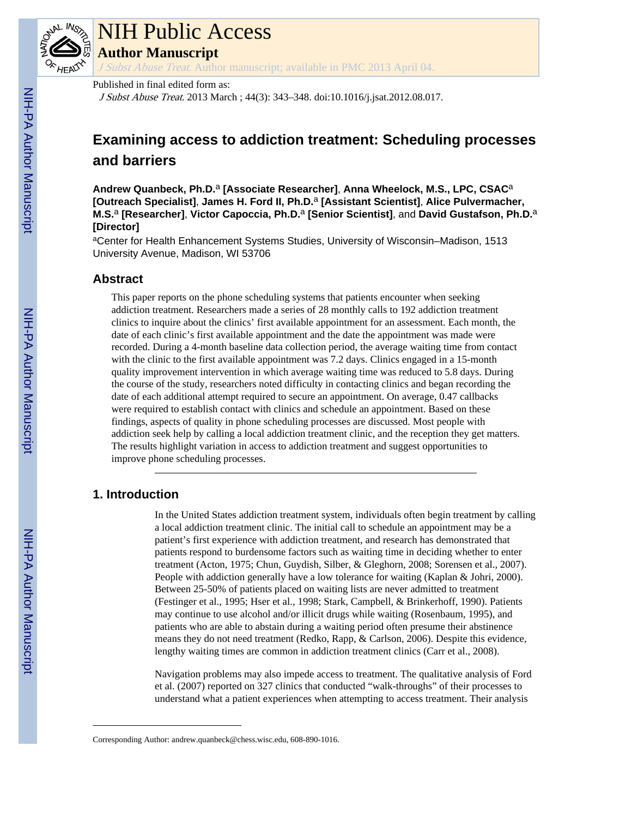

# NIH Public Access

**Author Manuscript**

J Subst Abuse Treat. Author manuscript; available in PMC 2013 April 04.

Published in final edited form as:

J Subst Abuse Treat. 2013 March ; 44(3): 343–348. doi:10.1016/j.jsat.2012.08.017.

# **Examining access to addiction treatment: Scheduling processes and barriers**

**Andrew Quanbeck, Ph.D.**a **[Associate Researcher]**, **Anna Wheelock, M.S., LPC, CSAC**<sup>a</sup> **[Outreach Specialist]**, **James H. Ford II, Ph.D.**a **[Assistant Scientist]**, **Alice Pulvermacher, M.S.**a **[Researcher]**, **Victor Capoccia, Ph.D.**a **[Senior Scientist]**, and **David Gustafson, Ph.D.**<sup>a</sup> **[Director]**

<sup>a</sup>Center for Health Enhancement Systems Studies, University of Wisconsin–Madison, 1513 University Avenue, Madison, WI 53706

# **Abstract**

This paper reports on the phone scheduling systems that patients encounter when seeking addiction treatment. Researchers made a series of 28 monthly calls to 192 addiction treatment clinics to inquire about the clinics' first available appointment for an assessment. Each month, the date of each clinic's first available appointment and the date the appointment was made were recorded. During a 4-month baseline data collection period, the average waiting time from contact with the clinic to the first available appointment was 7.2 days. Clinics engaged in a 15-month quality improvement intervention in which average waiting time was reduced to 5.8 days. During the course of the study, researchers noted difficulty in contacting clinics and began recording the date of each additional attempt required to secure an appointment. On average, 0.47 callbacks were required to establish contact with clinics and schedule an appointment. Based on these findings, aspects of quality in phone scheduling processes are discussed. Most people with addiction seek help by calling a local addiction treatment clinic, and the reception they get matters. The results highlight variation in access to addiction treatment and suggest opportunities to improve phone scheduling processes.

# **1. Introduction**

In the United States addiction treatment system, individuals often begin treatment by calling a local addiction treatment clinic. The initial call to schedule an appointment may be a patient's first experience with addiction treatment, and research has demonstrated that patients respond to burdensome factors such as waiting time in deciding whether to enter treatment (Acton, 1975; Chun, Guydish, Silber, & Gleghorn, 2008; Sorensen et al., 2007). People with addiction generally have a low tolerance for waiting (Kaplan & Johri, 2000). Between 25-50% of patients placed on waiting lists are never admitted to treatment (Festinger et al., 1995; Hser et al., 1998; Stark, Campbell, & Brinkerhoff, 1990). Patients may continue to use alcohol and/or illicit drugs while waiting (Rosenbaum, 1995), and patients who are able to abstain during a waiting period often presume their abstinence means they do not need treatment (Redko, Rapp, & Carlson, 2006). Despite this evidence, lengthy waiting times are common in addiction treatment clinics (Carr et al., 2008).

Navigation problems may also impede access to treatment. The qualitative analysis of Ford et al. (2007) reported on 327 clinics that conducted "walk-throughs" of their processes to understand what a patient experiences when attempting to access treatment. Their analysis

Corresponding Author: andrew.quanbeck@chess.wisc.edu, 608-890-1016.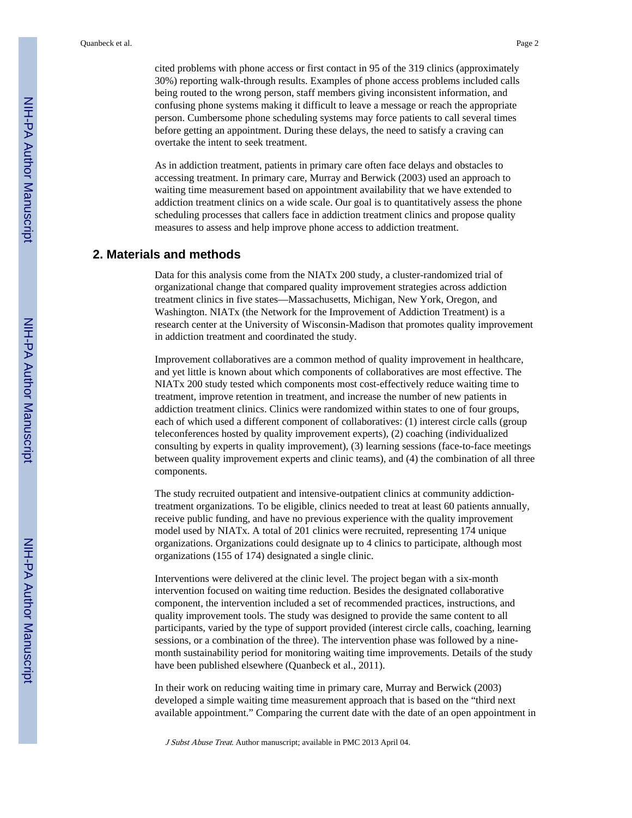cited problems with phone access or first contact in 95 of the 319 clinics (approximately 30%) reporting walk-through results. Examples of phone access problems included calls being routed to the wrong person, staff members giving inconsistent information, and confusing phone systems making it difficult to leave a message or reach the appropriate person. Cumbersome phone scheduling systems may force patients to call several times before getting an appointment. During these delays, the need to satisfy a craving can overtake the intent to seek treatment.

As in addiction treatment, patients in primary care often face delays and obstacles to accessing treatment. In primary care, Murray and Berwick (2003) used an approach to waiting time measurement based on appointment availability that we have extended to addiction treatment clinics on a wide scale. Our goal is to quantitatively assess the phone scheduling processes that callers face in addiction treatment clinics and propose quality measures to assess and help improve phone access to addiction treatment.

#### **2. Materials and methods**

Data for this analysis come from the NIATx 200 study, a cluster-randomized trial of organizational change that compared quality improvement strategies across addiction treatment clinics in five states—Massachusetts, Michigan, New York, Oregon, and Washington. NIATx (the Network for the Improvement of Addiction Treatment) is a research center at the University of Wisconsin-Madison that promotes quality improvement in addiction treatment and coordinated the study.

Improvement collaboratives are a common method of quality improvement in healthcare, and yet little is known about which components of collaboratives are most effective. The NIATx 200 study tested which components most cost-effectively reduce waiting time to treatment, improve retention in treatment, and increase the number of new patients in addiction treatment clinics. Clinics were randomized within states to one of four groups, each of which used a different component of collaboratives: (1) interest circle calls (group teleconferences hosted by quality improvement experts), (2) coaching (individualized consulting by experts in quality improvement), (3) learning sessions (face-to-face meetings between quality improvement experts and clinic teams), and (4) the combination of all three components.

The study recruited outpatient and intensive-outpatient clinics at community addictiontreatment organizations. To be eligible, clinics needed to treat at least 60 patients annually, receive public funding, and have no previous experience with the quality improvement model used by NIATx. A total of 201 clinics were recruited, representing 174 unique organizations. Organizations could designate up to 4 clinics to participate, although most organizations (155 of 174) designated a single clinic.

Interventions were delivered at the clinic level. The project began with a six-month intervention focused on waiting time reduction. Besides the designated collaborative component, the intervention included a set of recommended practices, instructions, and quality improvement tools. The study was designed to provide the same content to all participants, varied by the type of support provided (interest circle calls, coaching, learning sessions, or a combination of the three). The intervention phase was followed by a ninemonth sustainability period for monitoring waiting time improvements. Details of the study have been published elsewhere (Quanbeck et al., 2011).

In their work on reducing waiting time in primary care, Murray and Berwick (2003) developed a simple waiting time measurement approach that is based on the "third next available appointment." Comparing the current date with the date of an open appointment in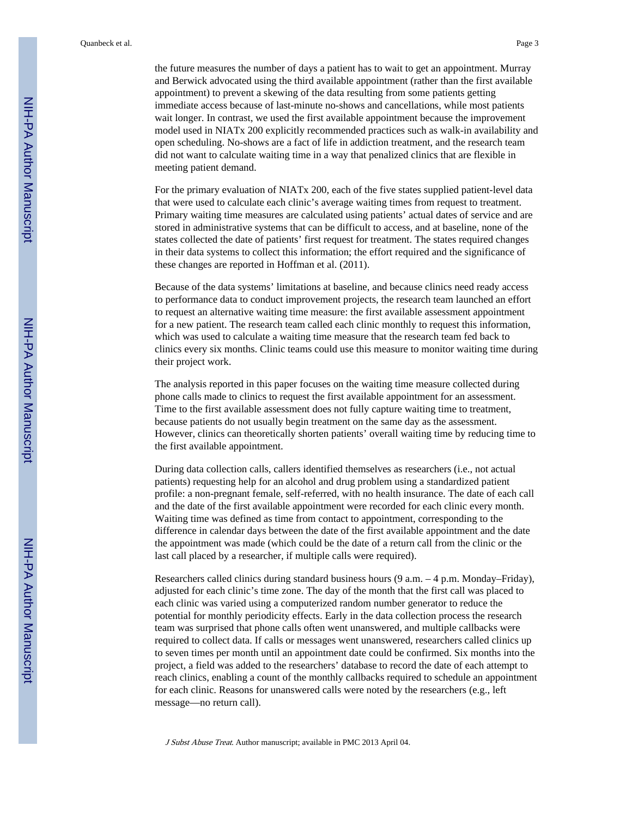Quanbeck et al. Page 3

the future measures the number of days a patient has to wait to get an appointment. Murray and Berwick advocated using the third available appointment (rather than the first available appointment) to prevent a skewing of the data resulting from some patients getting immediate access because of last-minute no-shows and cancellations, while most patients wait longer. In contrast, we used the first available appointment because the improvement model used in NIATx 200 explicitly recommended practices such as walk-in availability and open scheduling. No-shows are a fact of life in addiction treatment, and the research team did not want to calculate waiting time in a way that penalized clinics that are flexible in meeting patient demand.

For the primary evaluation of NIATx 200, each of the five states supplied patient-level data that were used to calculate each clinic's average waiting times from request to treatment. Primary waiting time measures are calculated using patients' actual dates of service and are stored in administrative systems that can be difficult to access, and at baseline, none of the states collected the date of patients' first request for treatment. The states required changes in their data systems to collect this information; the effort required and the significance of these changes are reported in Hoffman et al. (2011).

Because of the data systems' limitations at baseline, and because clinics need ready access to performance data to conduct improvement projects, the research team launched an effort to request an alternative waiting time measure: the first available assessment appointment for a new patient. The research team called each clinic monthly to request this information, which was used to calculate a waiting time measure that the research team fed back to clinics every six months. Clinic teams could use this measure to monitor waiting time during their project work.

The analysis reported in this paper focuses on the waiting time measure collected during phone calls made to clinics to request the first available appointment for an assessment. Time to the first available assessment does not fully capture waiting time to treatment, because patients do not usually begin treatment on the same day as the assessment. However, clinics can theoretically shorten patients' overall waiting time by reducing time to the first available appointment.

During data collection calls, callers identified themselves as researchers (i.e., not actual patients) requesting help for an alcohol and drug problem using a standardized patient profile: a non-pregnant female, self-referred, with no health insurance. The date of each call and the date of the first available appointment were recorded for each clinic every month. Waiting time was defined as time from contact to appointment, corresponding to the difference in calendar days between the date of the first available appointment and the date the appointment was made (which could be the date of a return call from the clinic or the last call placed by a researcher, if multiple calls were required).

Researchers called clinics during standard business hours (9 a.m. – 4 p.m. Monday–Friday), adjusted for each clinic's time zone. The day of the month that the first call was placed to each clinic was varied using a computerized random number generator to reduce the potential for monthly periodicity effects. Early in the data collection process the research team was surprised that phone calls often went unanswered, and multiple callbacks were required to collect data. If calls or messages went unanswered, researchers called clinics up to seven times per month until an appointment date could be confirmed. Six months into the project, a field was added to the researchers' database to record the date of each attempt to reach clinics, enabling a count of the monthly callbacks required to schedule an appointment for each clinic. Reasons for unanswered calls were noted by the researchers (e.g., left message—no return call).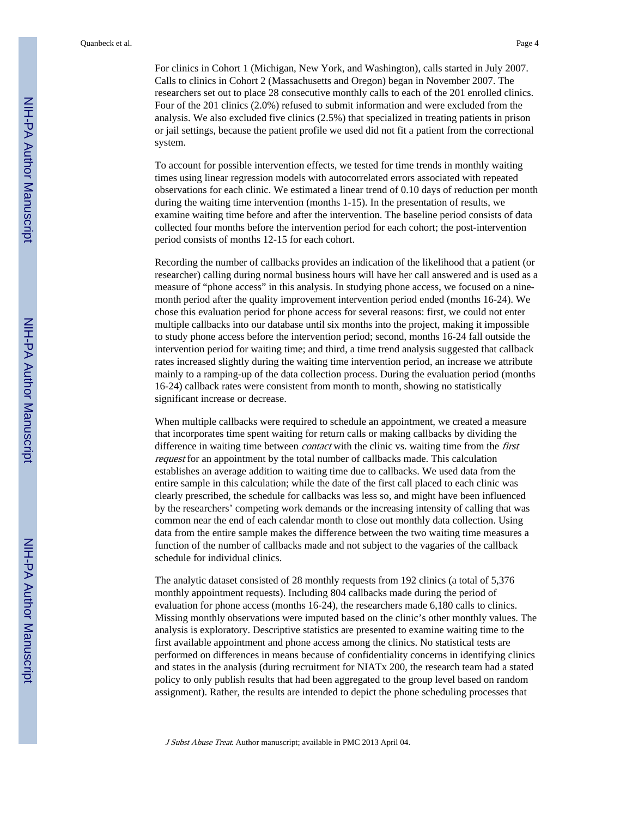For clinics in Cohort 1 (Michigan, New York, and Washington), calls started in July 2007. Calls to clinics in Cohort 2 (Massachusetts and Oregon) began in November 2007. The researchers set out to place 28 consecutive monthly calls to each of the 201 enrolled clinics. Four of the 201 clinics (2.0%) refused to submit information and were excluded from the analysis. We also excluded five clinics (2.5%) that specialized in treating patients in prison or jail settings, because the patient profile we used did not fit a patient from the correctional system.

To account for possible intervention effects, we tested for time trends in monthly waiting times using linear regression models with autocorrelated errors associated with repeated observations for each clinic. We estimated a linear trend of 0.10 days of reduction per month during the waiting time intervention (months 1-15). In the presentation of results, we examine waiting time before and after the intervention. The baseline period consists of data collected four months before the intervention period for each cohort; the post-intervention period consists of months 12-15 for each cohort.

Recording the number of callbacks provides an indication of the likelihood that a patient (or researcher) calling during normal business hours will have her call answered and is used as a measure of "phone access" in this analysis. In studying phone access, we focused on a ninemonth period after the quality improvement intervention period ended (months 16-24). We chose this evaluation period for phone access for several reasons: first, we could not enter multiple callbacks into our database until six months into the project, making it impossible to study phone access before the intervention period; second, months 16-24 fall outside the intervention period for waiting time; and third, a time trend analysis suggested that callback rates increased slightly during the waiting time intervention period, an increase we attribute mainly to a ramping-up of the data collection process. During the evaluation period (months 16-24) callback rates were consistent from month to month, showing no statistically significant increase or decrease.

When multiple callbacks were required to schedule an appointment, we created a measure that incorporates time spent waiting for return calls or making callbacks by dividing the difference in waiting time between *contact* with the clinic vs. waiting time from the *first* request for an appointment by the total number of callbacks made. This calculation establishes an average addition to waiting time due to callbacks. We used data from the entire sample in this calculation; while the date of the first call placed to each clinic was clearly prescribed, the schedule for callbacks was less so, and might have been influenced by the researchers' competing work demands or the increasing intensity of calling that was common near the end of each calendar month to close out monthly data collection. Using data from the entire sample makes the difference between the two waiting time measures a function of the number of callbacks made and not subject to the vagaries of the callback schedule for individual clinics.

The analytic dataset consisted of 28 monthly requests from 192 clinics (a total of 5,376 monthly appointment requests). Including 804 callbacks made during the period of evaluation for phone access (months 16-24), the researchers made 6,180 calls to clinics. Missing monthly observations were imputed based on the clinic's other monthly values. The analysis is exploratory. Descriptive statistics are presented to examine waiting time to the first available appointment and phone access among the clinics. No statistical tests are performed on differences in means because of confidentiality concerns in identifying clinics and states in the analysis (during recruitment for NIATx 200, the research team had a stated policy to only publish results that had been aggregated to the group level based on random assignment). Rather, the results are intended to depict the phone scheduling processes that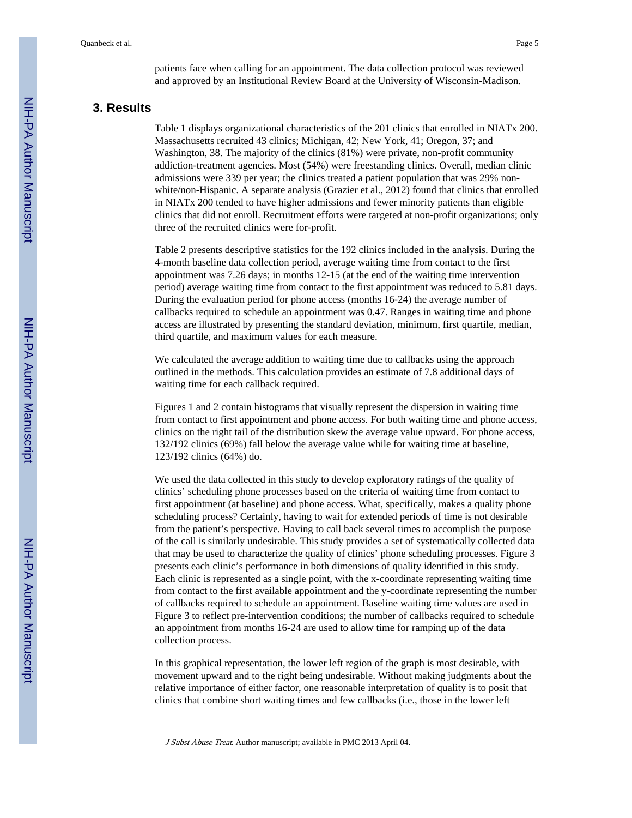patients face when calling for an appointment. The data collection protocol was reviewed and approved by an Institutional Review Board at the University of Wisconsin-Madison.

# **3. Results**

Table 1 displays organizational characteristics of the 201 clinics that enrolled in NIATx 200. Massachusetts recruited 43 clinics; Michigan, 42; New York, 41; Oregon, 37; and Washington, 38. The majority of the clinics (81%) were private, non-profit community addiction-treatment agencies. Most (54%) were freestanding clinics. Overall, median clinic admissions were 339 per year; the clinics treated a patient population that was 29% nonwhite/non-Hispanic. A separate analysis (Grazier et al., 2012) found that clinics that enrolled in NIATx 200 tended to have higher admissions and fewer minority patients than eligible clinics that did not enroll. Recruitment efforts were targeted at non-profit organizations; only three of the recruited clinics were for-profit.

Table 2 presents descriptive statistics for the 192 clinics included in the analysis. During the 4-month baseline data collection period, average waiting time from contact to the first appointment was 7.26 days; in months 12-15 (at the end of the waiting time intervention period) average waiting time from contact to the first appointment was reduced to 5.81 days. During the evaluation period for phone access (months 16-24) the average number of callbacks required to schedule an appointment was 0.47. Ranges in waiting time and phone access are illustrated by presenting the standard deviation, minimum, first quartile, median, third quartile, and maximum values for each measure.

We calculated the average addition to waiting time due to callbacks using the approach outlined in the methods. This calculation provides an estimate of 7.8 additional days of waiting time for each callback required.

Figures 1 and 2 contain histograms that visually represent the dispersion in waiting time from contact to first appointment and phone access. For both waiting time and phone access, clinics on the right tail of the distribution skew the average value upward. For phone access, 132/192 clinics (69%) fall below the average value while for waiting time at baseline, 123/192 clinics (64%) do.

We used the data collected in this study to develop exploratory ratings of the quality of clinics' scheduling phone processes based on the criteria of waiting time from contact to first appointment (at baseline) and phone access. What, specifically, makes a quality phone scheduling process? Certainly, having to wait for extended periods of time is not desirable from the patient's perspective. Having to call back several times to accomplish the purpose of the call is similarly undesirable. This study provides a set of systematically collected data that may be used to characterize the quality of clinics' phone scheduling processes. Figure 3 presents each clinic's performance in both dimensions of quality identified in this study. Each clinic is represented as a single point, with the x-coordinate representing waiting time from contact to the first available appointment and the y-coordinate representing the number of callbacks required to schedule an appointment. Baseline waiting time values are used in Figure 3 to reflect pre-intervention conditions; the number of callbacks required to schedule an appointment from months 16-24 are used to allow time for ramping up of the data collection process.

In this graphical representation, the lower left region of the graph is most desirable, with movement upward and to the right being undesirable. Without making judgments about the relative importance of either factor, one reasonable interpretation of quality is to posit that clinics that combine short waiting times and few callbacks (i.e., those in the lower left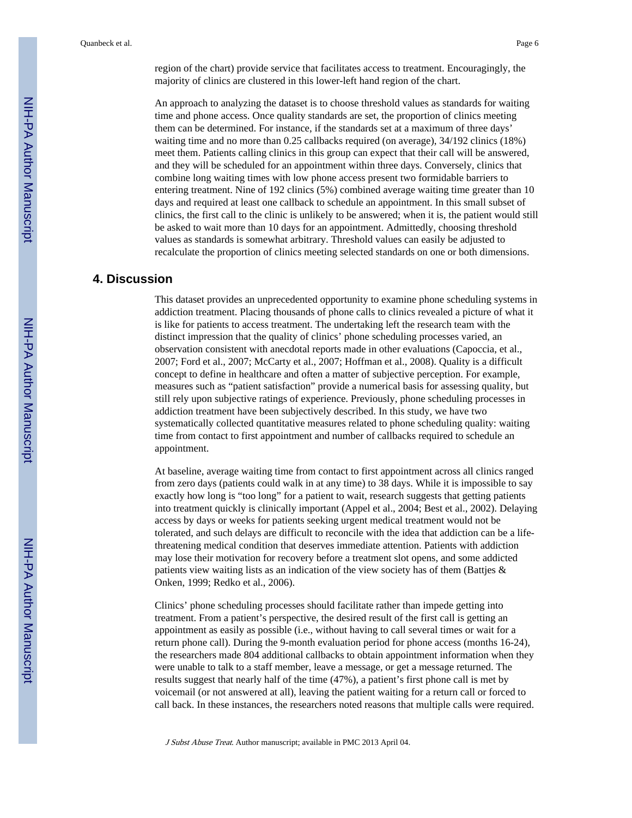region of the chart) provide service that facilitates access to treatment. Encouragingly, the majority of clinics are clustered in this lower-left hand region of the chart.

An approach to analyzing the dataset is to choose threshold values as standards for waiting time and phone access. Once quality standards are set, the proportion of clinics meeting them can be determined. For instance, if the standards set at a maximum of three days' waiting time and no more than 0.25 callbacks required (on average), 34/192 clinics (18%) meet them. Patients calling clinics in this group can expect that their call will be answered, and they will be scheduled for an appointment within three days. Conversely, clinics that combine long waiting times with low phone access present two formidable barriers to entering treatment. Nine of 192 clinics (5%) combined average waiting time greater than 10 days and required at least one callback to schedule an appointment. In this small subset of clinics, the first call to the clinic is unlikely to be answered; when it is, the patient would still be asked to wait more than 10 days for an appointment. Admittedly, choosing threshold values as standards is somewhat arbitrary. Threshold values can easily be adjusted to recalculate the proportion of clinics meeting selected standards on one or both dimensions.

# **4. Discussion**

This dataset provides an unprecedented opportunity to examine phone scheduling systems in addiction treatment. Placing thousands of phone calls to clinics revealed a picture of what it is like for patients to access treatment. The undertaking left the research team with the distinct impression that the quality of clinics' phone scheduling processes varied, an observation consistent with anecdotal reports made in other evaluations (Capoccia, et al., 2007; Ford et al., 2007; McCarty et al., 2007; Hoffman et al., 2008). Quality is a difficult concept to define in healthcare and often a matter of subjective perception. For example, measures such as "patient satisfaction" provide a numerical basis for assessing quality, but still rely upon subjective ratings of experience. Previously, phone scheduling processes in addiction treatment have been subjectively described. In this study, we have two systematically collected quantitative measures related to phone scheduling quality: waiting time from contact to first appointment and number of callbacks required to schedule an appointment.

At baseline, average waiting time from contact to first appointment across all clinics ranged from zero days (patients could walk in at any time) to 38 days. While it is impossible to say exactly how long is "too long" for a patient to wait, research suggests that getting patients into treatment quickly is clinically important (Appel et al., 2004; Best et al., 2002). Delaying access by days or weeks for patients seeking urgent medical treatment would not be tolerated, and such delays are difficult to reconcile with the idea that addiction can be a lifethreatening medical condition that deserves immediate attention. Patients with addiction may lose their motivation for recovery before a treatment slot opens, and some addicted patients view waiting lists as an indication of the view society has of them (Battjes & Onken, 1999; Redko et al., 2006).

Clinics' phone scheduling processes should facilitate rather than impede getting into treatment. From a patient's perspective, the desired result of the first call is getting an appointment as easily as possible (i.e., without having to call several times or wait for a return phone call). During the 9-month evaluation period for phone access (months 16-24), the researchers made 804 additional callbacks to obtain appointment information when they were unable to talk to a staff member, leave a message, or get a message returned. The results suggest that nearly half of the time (47%), a patient's first phone call is met by voicemail (or not answered at all), leaving the patient waiting for a return call or forced to call back. In these instances, the researchers noted reasons that multiple calls were required.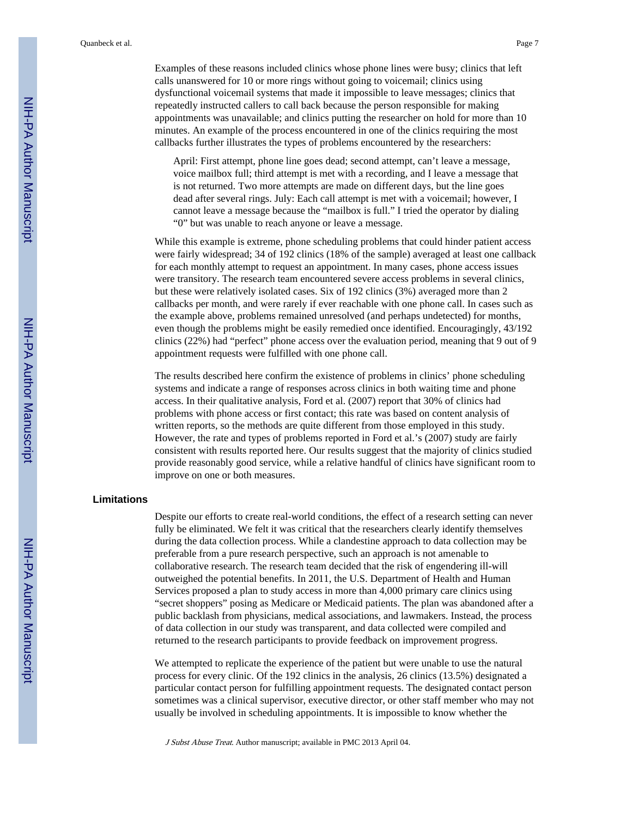Examples of these reasons included clinics whose phone lines were busy; clinics that left calls unanswered for 10 or more rings without going to voicemail; clinics using dysfunctional voicemail systems that made it impossible to leave messages; clinics that repeatedly instructed callers to call back because the person responsible for making appointments was unavailable; and clinics putting the researcher on hold for more than 10 minutes. An example of the process encountered in one of the clinics requiring the most callbacks further illustrates the types of problems encountered by the researchers:

April: First attempt, phone line goes dead; second attempt, can't leave a message, voice mailbox full; third attempt is met with a recording, and I leave a message that is not returned. Two more attempts are made on different days, but the line goes dead after several rings. July: Each call attempt is met with a voicemail; however, I cannot leave a message because the "mailbox is full." I tried the operator by dialing "0" but was unable to reach anyone or leave a message.

While this example is extreme, phone scheduling problems that could hinder patient access were fairly widespread; 34 of 192 clinics (18% of the sample) averaged at least one callback for each monthly attempt to request an appointment. In many cases, phone access issues were transitory. The research team encountered severe access problems in several clinics, but these were relatively isolated cases. Six of 192 clinics (3%) averaged more than 2 callbacks per month, and were rarely if ever reachable with one phone call. In cases such as the example above, problems remained unresolved (and perhaps undetected) for months, even though the problems might be easily remedied once identified. Encouragingly, 43/192 clinics (22%) had "perfect" phone access over the evaluation period, meaning that 9 out of 9 appointment requests were fulfilled with one phone call.

The results described here confirm the existence of problems in clinics' phone scheduling systems and indicate a range of responses across clinics in both waiting time and phone access. In their qualitative analysis, Ford et al. (2007) report that 30% of clinics had problems with phone access or first contact; this rate was based on content analysis of written reports, so the methods are quite different from those employed in this study. However, the rate and types of problems reported in Ford et al.'s (2007) study are fairly consistent with results reported here. Our results suggest that the majority of clinics studied provide reasonably good service, while a relative handful of clinics have significant room to improve on one or both measures.

#### **Limitations**

Despite our efforts to create real-world conditions, the effect of a research setting can never fully be eliminated. We felt it was critical that the researchers clearly identify themselves during the data collection process. While a clandestine approach to data collection may be preferable from a pure research perspective, such an approach is not amenable to collaborative research. The research team decided that the risk of engendering ill-will outweighed the potential benefits. In 2011, the U.S. Department of Health and Human Services proposed a plan to study access in more than 4,000 primary care clinics using "secret shoppers" posing as Medicare or Medicaid patients. The plan was abandoned after a public backlash from physicians, medical associations, and lawmakers. Instead, the process of data collection in our study was transparent, and data collected were compiled and returned to the research participants to provide feedback on improvement progress.

We attempted to replicate the experience of the patient but were unable to use the natural process for every clinic. Of the 192 clinics in the analysis, 26 clinics (13.5%) designated a particular contact person for fulfilling appointment requests. The designated contact person sometimes was a clinical supervisor, executive director, or other staff member who may not usually be involved in scheduling appointments. It is impossible to know whether the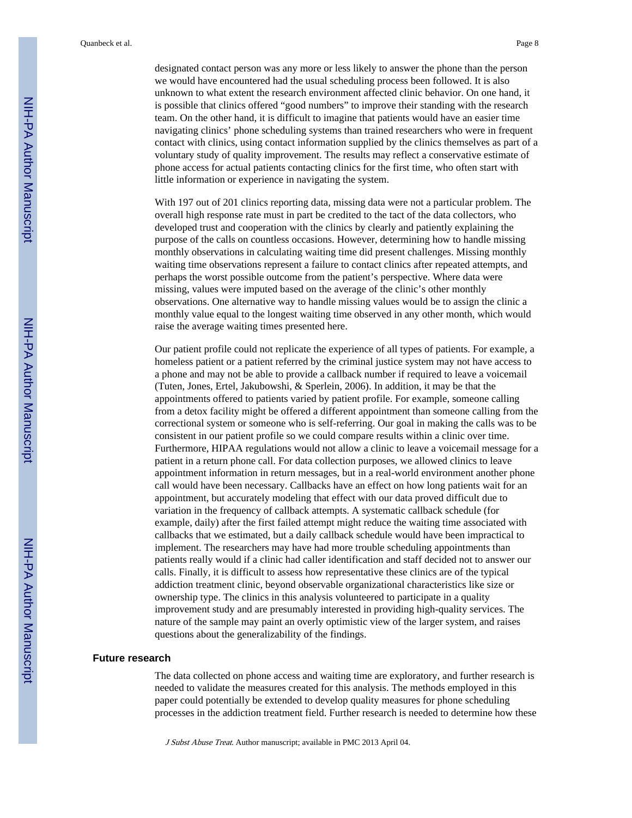Quanbeck et al. Page 8

With 197 out of 201 clinics reporting data, missing data were not a particular problem. The overall high response rate must in part be credited to the tact of the data collectors, who developed trust and cooperation with the clinics by clearly and patiently explaining the purpose of the calls on countless occasions. However, determining how to handle missing monthly observations in calculating waiting time did present challenges. Missing monthly waiting time observations represent a failure to contact clinics after repeated attempts, and perhaps the worst possible outcome from the patient's perspective. Where data were missing, values were imputed based on the average of the clinic's other monthly observations. One alternative way to handle missing values would be to assign the clinic a monthly value equal to the longest waiting time observed in any other month, which would raise the average waiting times presented here.

phone access for actual patients contacting clinics for the first time, who often start with

little information or experience in navigating the system.

Our patient profile could not replicate the experience of all types of patients. For example, a homeless patient or a patient referred by the criminal justice system may not have access to a phone and may not be able to provide a callback number if required to leave a voicemail (Tuten, Jones, Ertel, Jakubowshi, & Sperlein, 2006). In addition, it may be that the appointments offered to patients varied by patient profile. For example, someone calling from a detox facility might be offered a different appointment than someone calling from the correctional system or someone who is self-referring. Our goal in making the calls was to be consistent in our patient profile so we could compare results within a clinic over time. Furthermore, HIPAA regulations would not allow a clinic to leave a voicemail message for a patient in a return phone call. For data collection purposes, we allowed clinics to leave appointment information in return messages, but in a real-world environment another phone call would have been necessary. Callbacks have an effect on how long patients wait for an appointment, but accurately modeling that effect with our data proved difficult due to variation in the frequency of callback attempts. A systematic callback schedule (for example, daily) after the first failed attempt might reduce the waiting time associated with callbacks that we estimated, but a daily callback schedule would have been impractical to implement. The researchers may have had more trouble scheduling appointments than patients really would if a clinic had caller identification and staff decided not to answer our calls. Finally, it is difficult to assess how representative these clinics are of the typical addiction treatment clinic, beyond observable organizational characteristics like size or ownership type. The clinics in this analysis volunteered to participate in a quality improvement study and are presumably interested in providing high-quality services. The nature of the sample may paint an overly optimistic view of the larger system, and raises questions about the generalizability of the findings.

#### **Future research**

The data collected on phone access and waiting time are exploratory, and further research is needed to validate the measures created for this analysis. The methods employed in this paper could potentially be extended to develop quality measures for phone scheduling processes in the addiction treatment field. Further research is needed to determine how these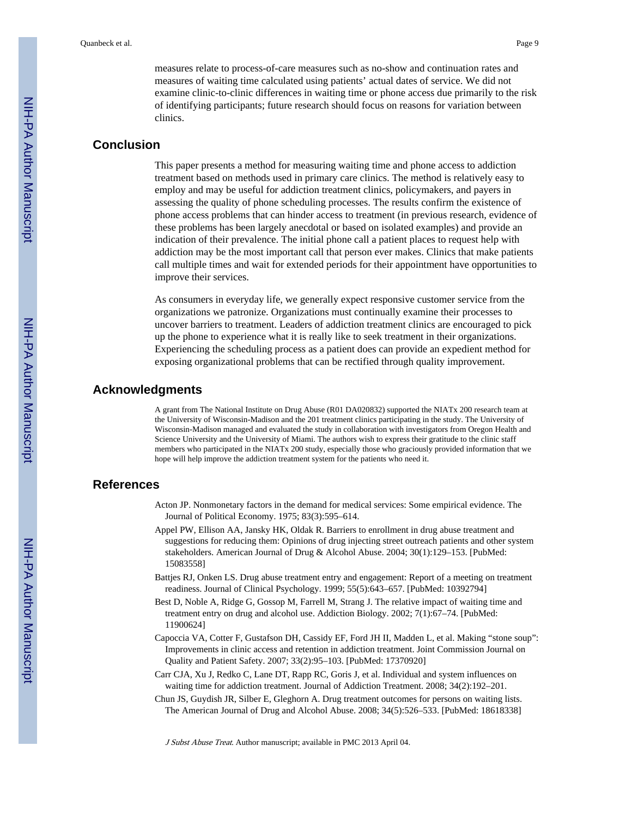measures relate to process-of-care measures such as no-show and continuation rates and measures of waiting time calculated using patients' actual dates of service. We did not examine clinic-to-clinic differences in waiting time or phone access due primarily to the risk of identifying participants; future research should focus on reasons for variation between clinics.

### **Conclusion**

This paper presents a method for measuring waiting time and phone access to addiction treatment based on methods used in primary care clinics. The method is relatively easy to employ and may be useful for addiction treatment clinics, policymakers, and payers in assessing the quality of phone scheduling processes. The results confirm the existence of phone access problems that can hinder access to treatment (in previous research, evidence of these problems has been largely anecdotal or based on isolated examples) and provide an indication of their prevalence. The initial phone call a patient places to request help with addiction may be the most important call that person ever makes. Clinics that make patients call multiple times and wait for extended periods for their appointment have opportunities to improve their services.

As consumers in everyday life, we generally expect responsive customer service from the organizations we patronize. Organizations must continually examine their processes to uncover barriers to treatment. Leaders of addiction treatment clinics are encouraged to pick up the phone to experience what it is really like to seek treatment in their organizations. Experiencing the scheduling process as a patient does can provide an expedient method for exposing organizational problems that can be rectified through quality improvement.

#### **Acknowledgments**

A grant from The National Institute on Drug Abuse (R01 DA020832) supported the NIATx 200 research team at the University of Wisconsin-Madison and the 201 treatment clinics participating in the study. The University of Wisconsin-Madison managed and evaluated the study in collaboration with investigators from Oregon Health and Science University and the University of Miami. The authors wish to express their gratitude to the clinic staff members who participated in the NIATx 200 study, especially those who graciously provided information that we hope will help improve the addiction treatment system for the patients who need it.

# **References**

- Acton JP. Nonmonetary factors in the demand for medical services: Some empirical evidence. The Journal of Political Economy. 1975; 83(3):595–614.
- Appel PW, Ellison AA, Jansky HK, Oldak R. Barriers to enrollment in drug abuse treatment and suggestions for reducing them: Opinions of drug injecting street outreach patients and other system stakeholders. American Journal of Drug & Alcohol Abuse. 2004; 30(1):129–153. [PubMed: 15083558]
- Battjes RJ, Onken LS. Drug abuse treatment entry and engagement: Report of a meeting on treatment readiness. Journal of Clinical Psychology. 1999; 55(5):643–657. [PubMed: 10392794]
- Best D, Noble A, Ridge G, Gossop M, Farrell M, Strang J. The relative impact of waiting time and treatment entry on drug and alcohol use. Addiction Biology. 2002; 7(1):67–74. [PubMed: 11900624]
- Capoccia VA, Cotter F, Gustafson DH, Cassidy EF, Ford JH II, Madden L, et al. Making "stone soup": Improvements in clinic access and retention in addiction treatment. Joint Commission Journal on Quality and Patient Safety. 2007; 33(2):95–103. [PubMed: 17370920]
- Carr CJA, Xu J, Redko C, Lane DT, Rapp RC, Goris J, et al. Individual and system influences on waiting time for addiction treatment. Journal of Addiction Treatment. 2008; 34(2):192–201.
- Chun JS, Guydish JR, Silber E, Gleghorn A. Drug treatment outcomes for persons on waiting lists. The American Journal of Drug and Alcohol Abuse. 2008; 34(5):526–533. [PubMed: 18618338]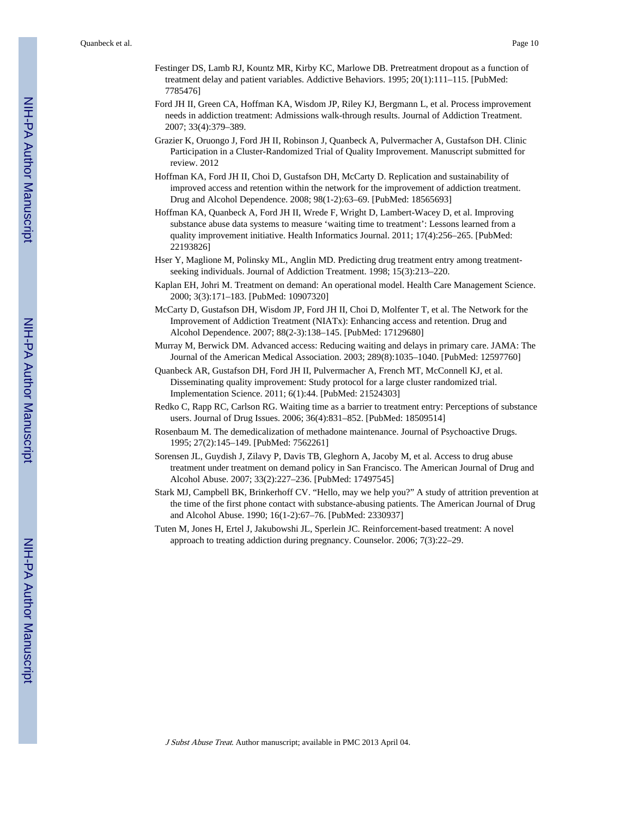- Festinger DS, Lamb RJ, Kountz MR, Kirby KC, Marlowe DB. Pretreatment dropout as a function of treatment delay and patient variables. Addictive Behaviors. 1995; 20(1):111–115. [PubMed: 7785476]
- Ford JH II, Green CA, Hoffman KA, Wisdom JP, Riley KJ, Bergmann L, et al. Process improvement needs in addiction treatment: Admissions walk-through results. Journal of Addiction Treatment. 2007; 33(4):379–389.
- Grazier K, Oruongo J, Ford JH II, Robinson J, Quanbeck A, Pulvermacher A, Gustafson DH. Clinic Participation in a Cluster-Randomized Trial of Quality Improvement. Manuscript submitted for review. 2012
- Hoffman KA, Ford JH II, Choi D, Gustafson DH, McCarty D. Replication and sustainability of improved access and retention within the network for the improvement of addiction treatment. Drug and Alcohol Dependence. 2008; 98(1-2):63–69. [PubMed: 18565693]
- Hoffman KA, Quanbeck A, Ford JH II, Wrede F, Wright D, Lambert-Wacey D, et al. Improving substance abuse data systems to measure 'waiting time to treatment': Lessons learned from a quality improvement initiative. Health Informatics Journal. 2011; 17(4):256–265. [PubMed: 22193826]
- Hser Y, Maglione M, Polinsky ML, Anglin MD. Predicting drug treatment entry among treatmentseeking individuals. Journal of Addiction Treatment. 1998; 15(3):213–220.
- Kaplan EH, Johri M. Treatment on demand: An operational model. Health Care Management Science. 2000; 3(3):171–183. [PubMed: 10907320]
- McCarty D, Gustafson DH, Wisdom JP, Ford JH II, Choi D, Molfenter T, et al. The Network for the Improvement of Addiction Treatment (NIATx): Enhancing access and retention. Drug and Alcohol Dependence. 2007; 88(2-3):138–145. [PubMed: 17129680]
- Murray M, Berwick DM. Advanced access: Reducing waiting and delays in primary care. JAMA: The Journal of the American Medical Association. 2003; 289(8):1035–1040. [PubMed: 12597760]
- Quanbeck AR, Gustafson DH, Ford JH II, Pulvermacher A, French MT, McConnell KJ, et al. Disseminating quality improvement: Study protocol for a large cluster randomized trial. Implementation Science. 2011; 6(1):44. [PubMed: 21524303]
- Redko C, Rapp RC, Carlson RG. Waiting time as a barrier to treatment entry: Perceptions of substance users. Journal of Drug Issues. 2006; 36(4):831–852. [PubMed: 18509514]
- Rosenbaum M. The demedicalization of methadone maintenance. Journal of Psychoactive Drugs. 1995; 27(2):145–149. [PubMed: 7562261]
- Sorensen JL, Guydish J, Zilavy P, Davis TB, Gleghorn A, Jacoby M, et al. Access to drug abuse treatment under treatment on demand policy in San Francisco. The American Journal of Drug and Alcohol Abuse. 2007; 33(2):227–236. [PubMed: 17497545]
- Stark MJ, Campbell BK, Brinkerhoff CV. "Hello, may we help you?" A study of attrition prevention at the time of the first phone contact with substance-abusing patients. The American Journal of Drug and Alcohol Abuse. 1990; 16(1-2):67–76. [PubMed: 2330937]
- Tuten M, Jones H, Ertel J, Jakubowshi JL, Sperlein JC. Reinforcement-based treatment: A novel approach to treating addiction during pregnancy. Counselor. 2006; 7(3):22–29.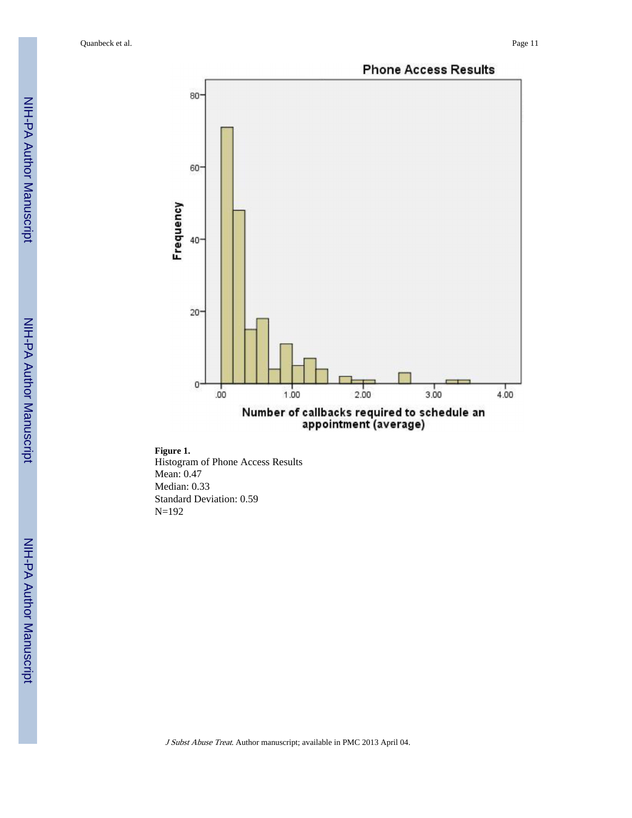



**Figure 1.** Histogram of Phone Access Results Mean: 0.47 Median: 0.33 Standard Deviation: 0.59 N=192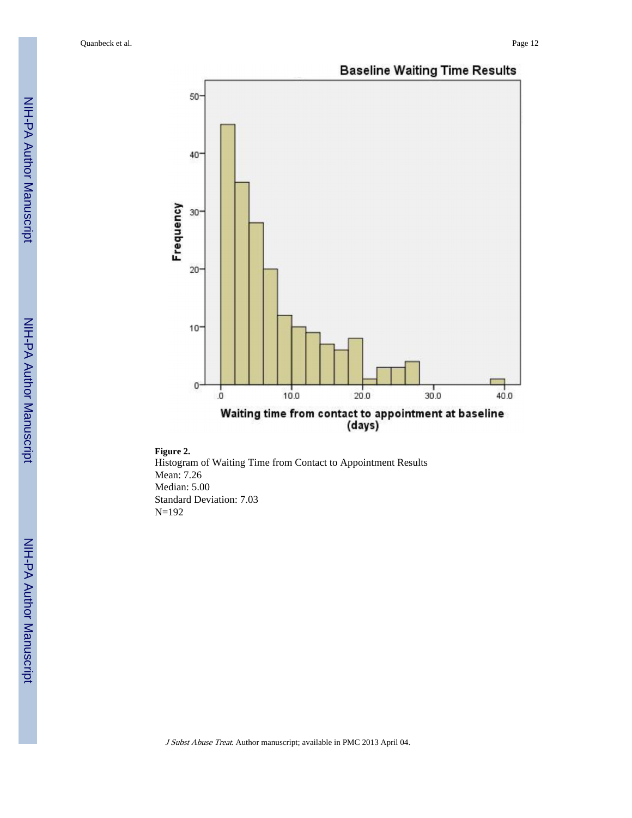

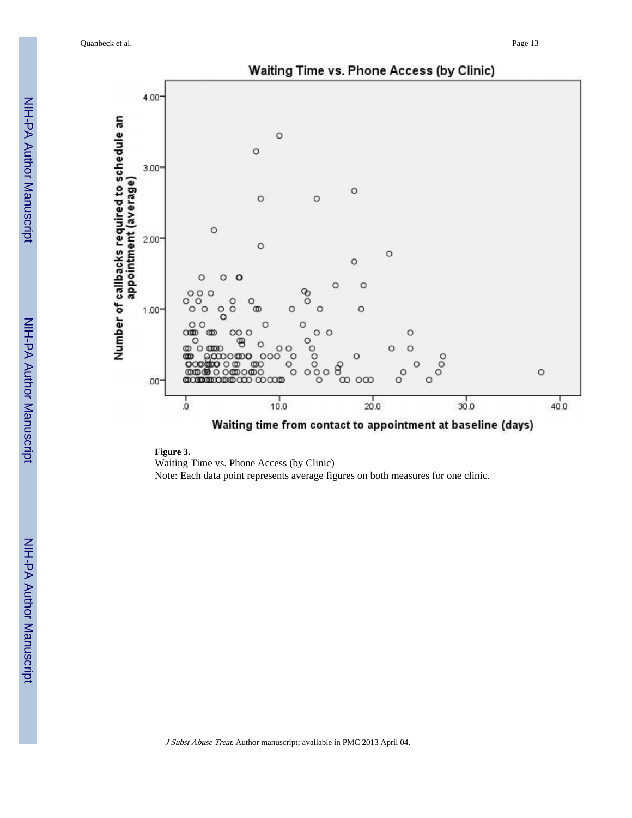

Waiting time from contact to appointment at baseline (days)

**Figure 3.** Waiting Time vs. Phone Access (by Clinic) Note: Each data point represents average figures on both measures for one clinic.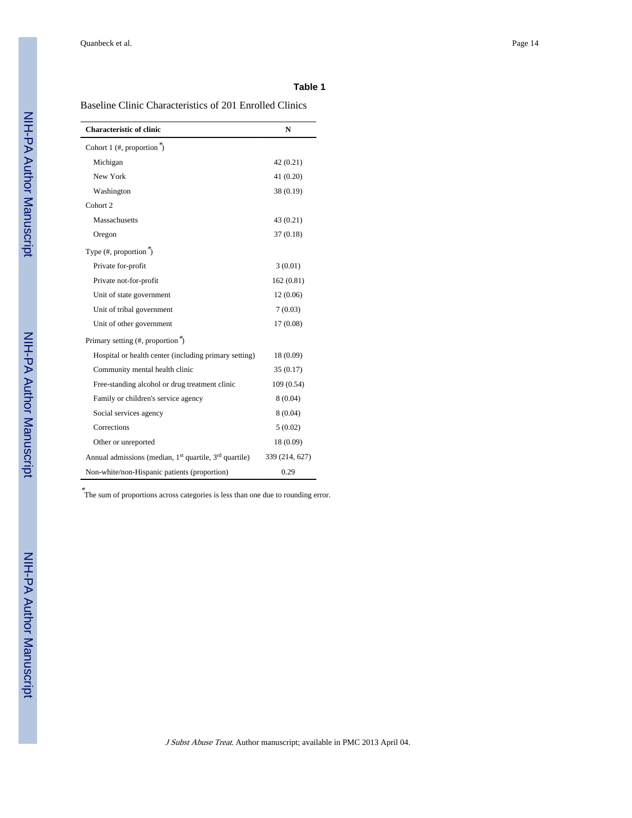#### **Table 1**

Baseline Clinic Characteristics of 201 Enrolled Clinics

| <b>Characteristic of clinic</b>                                                | N              |
|--------------------------------------------------------------------------------|----------------|
| Cohort 1 $(\#$ , proportion <sup><math>\hat{\ }</math></sup> )                 |                |
| Michigan                                                                       | 42 (0.21)      |
| New York                                                                       | 41 (0.20)      |
| Washington                                                                     | 38 (0.19)      |
| Cohort <sub>2</sub>                                                            |                |
| <b>Massachusetts</b>                                                           | 43 (0.21)      |
| Oregon                                                                         | 37(0.18)       |
| Type $(\#$ , proportion $\tilde{)}$                                            |                |
| Private for-profit                                                             | 3(0.01)        |
| Private not-for-profit                                                         | 162(0.81)      |
| Unit of state government                                                       | 12(0.06)       |
| Unit of tribal government                                                      | 7(0.03)        |
| Unit of other government                                                       | 17 (0.08)      |
| Primary setting (#, proportion <sup>*</sup> )                                  |                |
| Hospital or health center (including primary setting)                          | 18 (0.09)      |
| Community mental health clinic                                                 | 35(0.17)       |
| Free-standing alcohol or drug treatment clinic                                 | 109 (0.54)     |
| Family or children's service agency                                            | 8(0.04)        |
| Social services agency                                                         | 8(0.04)        |
| Corrections                                                                    | 5(0.02)        |
| Other or unreported                                                            | 18 (0.09)      |
| Annual admissions (median, 1 <sup>st</sup> quartile, 3 <sup>rd</sup> quartile) | 339 (214, 627) |
| Non-white/non-Hispanic patients (proportion)                                   | 0.29           |

\* The sum of proportions across categories is less than one due to rounding error.